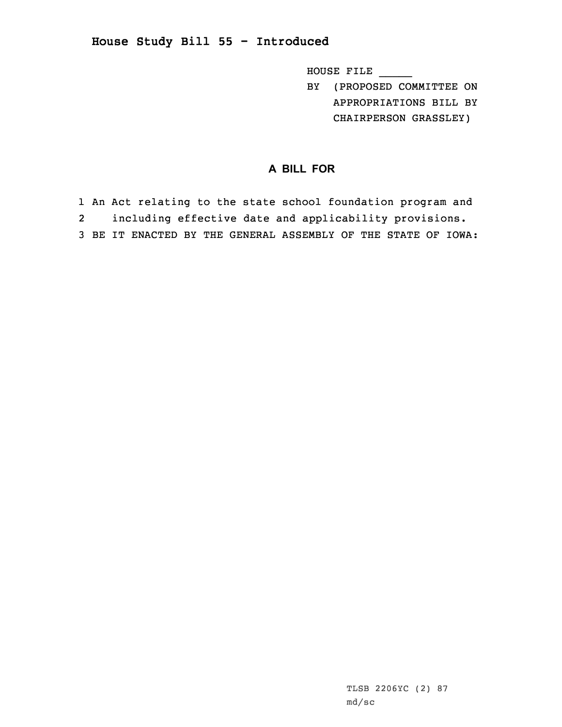**House Study Bill 55 - Introduced**

HOUSE FILE \_\_\_\_\_

BY (PROPOSED COMMITTEE ON APPROPRIATIONS BILL BY CHAIRPERSON GRASSLEY)

## **A BILL FOR**

1 An Act relating to the state school foundation program and 2 including effective date and applicability provisions. 3 BE IT ENACTED BY THE GENERAL ASSEMBLY OF THE STATE OF IOWA: